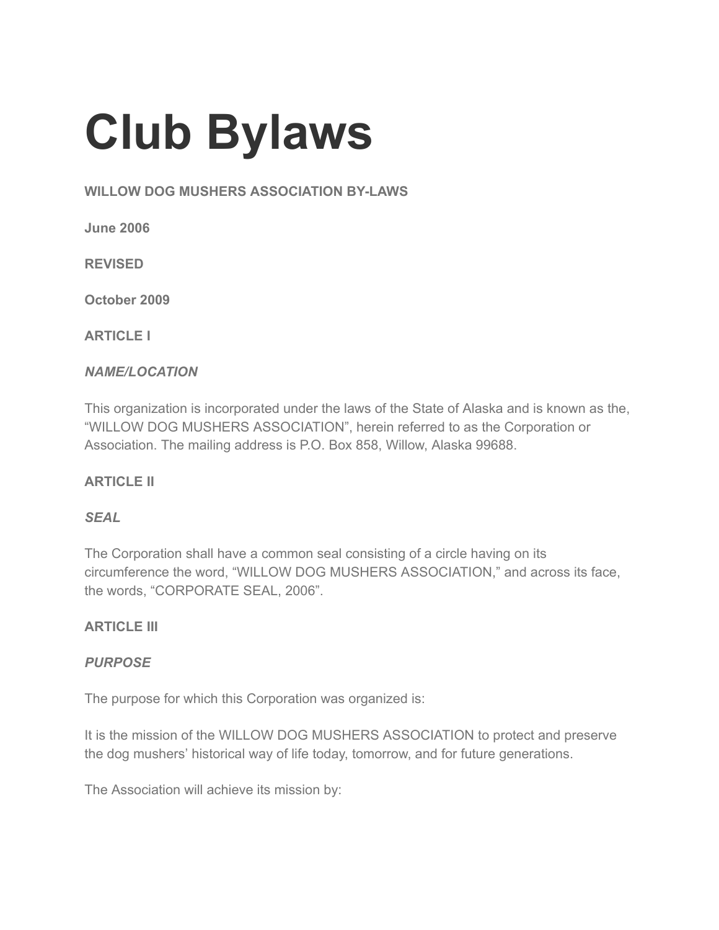# Club Bylaws

#### WILLOW DOG MUSHERS ASSOCIATION BY-LAWS

June 2006

REVISED

October 2009

ARTICLE I

#### NAME/LOCATION

This organization is incorporated under the laws of the State of Alaska and is known as the, "WILLOW DOG MUSHERS ASSOCIATION", herein referred to as the Corporation or Association. The mailing address is P.O. Box 858, Willow, Alaska 99688.

## ARTICLE II

#### **SEAL**

The Corporation shall have a common seal consisting of a circle having on its circumference the word, "WILLOW DOG MUSHERS ASSOCIATION," and across its face, the words, "CORPORATE SEAL, 2006".

#### **ARTICLE III**

#### PURPOSE

The purpose for which this Corporation was organized is:

It is the mission of the WILLOW DOG MUSHERS ASSOCIATION to protect and preserve the dog mushers' historical way of life today, tomorrow, and for future generations.

The Association will achieve its mission by: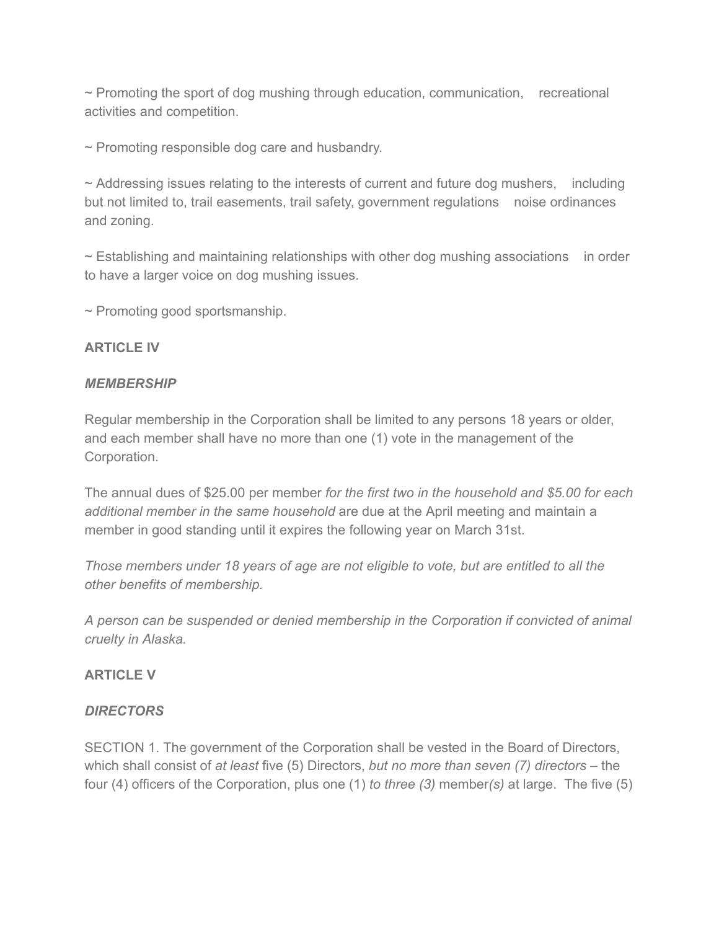$\sim$  Promoting the sport of dog mushing through education, communication, recreational activities and competition.

~ Promoting responsible dog care and husbandry.

 $\sim$  Addressing issues relating to the interests of current and future dog mushers, including but not limited to, trail easements, trail safety, government regulations noise ordinances and zoning.

 $\sim$  Establishing and maintaining relationships with other dog mushing associations in order to have a larger voice on dog mushing issues.

~ Promoting good sportsmanship.

#### ARTICLE IV

#### **MEMBERSHIP**

Regular membership in the Corporation shall be limited to any persons 18 years or older, and each member shall have no more than one (1) vote in the management of the Corporation.

The annual dues of \$25.00 per member for the first two in the household and \$5.00 for each additional member in the same household are due at the April meeting and maintain a member in good standing until it expires the following year on March 31st.

Those members under 18 years of age are not eligible to vote, but are entitled to all the other benefits of membership.

A person can be suspended or denied membership in the Corporation if convicted of animal cruelty in Alaska.

#### ARTICLE V

#### **DIRECTORS**

SECTION 1. The government of the Corporation shall be vested in the Board of Directors, which shall consist of at least five (5) Directors, but no more than seven (7) directors – the four (4) officers of the Corporation, plus one (1) to three (3) member(s) at large. The five (5)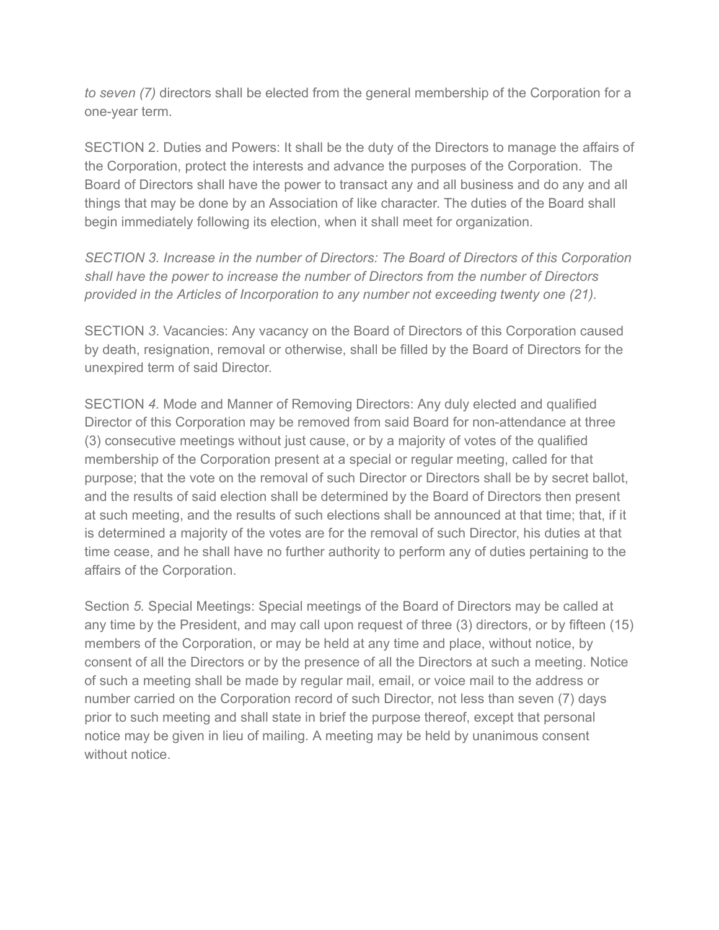to seven (7) directors shall be elected from the general membership of the Corporation for a one-year term.

SECTION 2. Duties and Powers: It shall be the duty of the Directors to manage the affairs of the Corporation, protect the interests and advance the purposes of the Corporation. The Board of Directors shall have the power to transact any and all business and do any and all things that may be done by an Association of like character. The duties of the Board shall begin immediately following its election, when it shall meet for organization.

SECTION 3. Increase in the number of Directors: The Board of Directors of this Corporation shall have the power to increase the number of Directors from the number of Directors provided in the Articles of Incorporation to any number not exceeding twenty one (21).

SECTION 3. Vacancies: Any vacancy on the Board of Directors of this Corporation caused by death, resignation, removal or otherwise, shall be filled by the Board of Directors for the unexpired term of said Director.

SECTION 4. Mode and Manner of Removing Directors: Any duly elected and qualified Director of this Corporation may be removed from said Board for non-attendance at three (3) consecutive meetings without just cause, or by a majority of votes of the qualified membership of the Corporation present at a special or regular meeting, called for that purpose; that the vote on the removal of such Director or Directors shall be by secret ballot, and the results of said election shall be determined by the Board of Directors then present at such meeting, and the results of such elections shall be announced at that time; that, if it is determined a majority of the votes are for the removal of such Director, his duties at that time cease, and he shall have no further authority to perform any of duties pertaining to the affairs of the Corporation.

Section 5. Special Meetings: Special meetings of the Board of Directors may be called at any time by the President, and may call upon request of three (3) directors, or by fifteen (15) members of the Corporation, or may be held at any time and place, without notice, by consent of all the Directors or by the presence of all the Directors at such a meeting. Notice of such a meeting shall be made by regular mail, email, or voice mail to the address or number carried on the Corporation record of such Director, not less than seven (7) days prior to such meeting and shall state in brief the purpose thereof, except that personal notice may be given in lieu of mailing. A meeting may be held by unanimous consent without notice.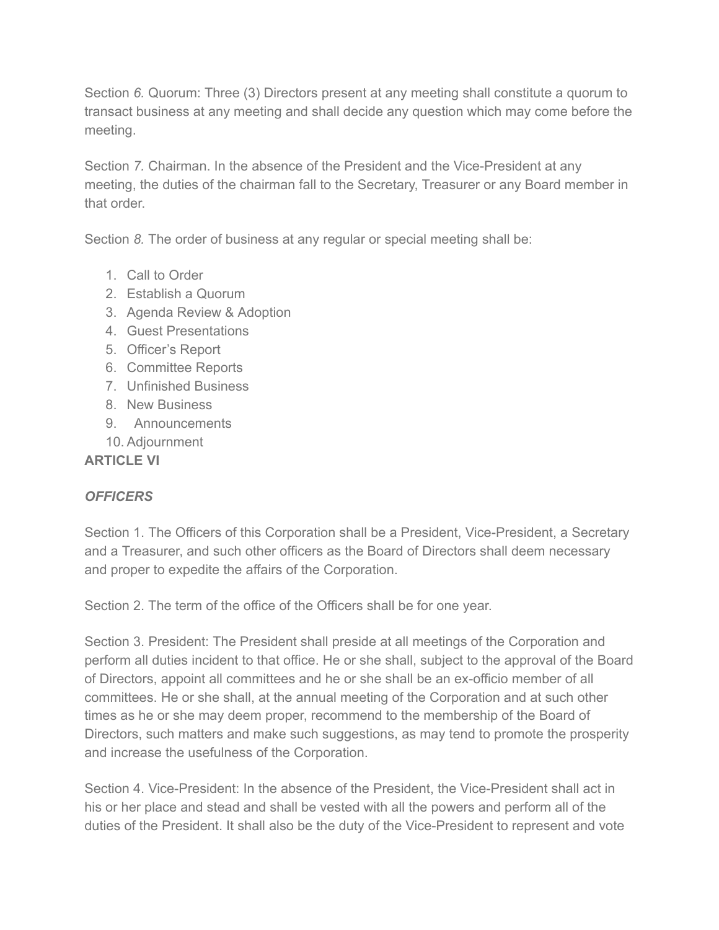Section 6. Quorum: Three (3) Directors present at any meeting shall constitute a quorum to transact business at any meeting and shall decide any question which may come before the meeting.

Section 7. Chairman. In the absence of the President and the Vice-President at any meeting, the duties of the chairman fall to the Secretary, Treasurer or any Board member in that order.

Section 8. The order of business at any regular or special meeting shall be:

- 1. Call to Order
- 2. Establish a Quorum
- 3. Agenda Review & Adoption
- 4. Guest Presentations
- 5. Officer's Report
- 6. Committee Reports
- 7. Unfinished Business
- 8. New Business
- 9. Announcements
- 10. Adjournment

#### ARTICLE VI

## **OFFICERS**

Section 1. The Officers of this Corporation shall be a President, Vice-President, a Secretary and a Treasurer, and such other officers as the Board of Directors shall deem necessary and proper to expedite the affairs of the Corporation.

Section 2. The term of the office of the Officers shall be for one year.

Section 3. President: The President shall preside at all meetings of the Corporation and perform all duties incident to that office. He or she shall, subject to the approval of the Board of Directors, appoint all committees and he or she shall be an ex-officio member of all committees. He or she shall, at the annual meeting of the Corporation and at such other times as he or she may deem proper, recommend to the membership of the Board of Directors, such matters and make such suggestions, as may tend to promote the prosperity and increase the usefulness of the Corporation.

Section 4. Vice-President: In the absence of the President, the Vice-President shall act in his or her place and stead and shall be vested with all the powers and perform all of the duties of the President. It shall also be the duty of the Vice-President to represent and vote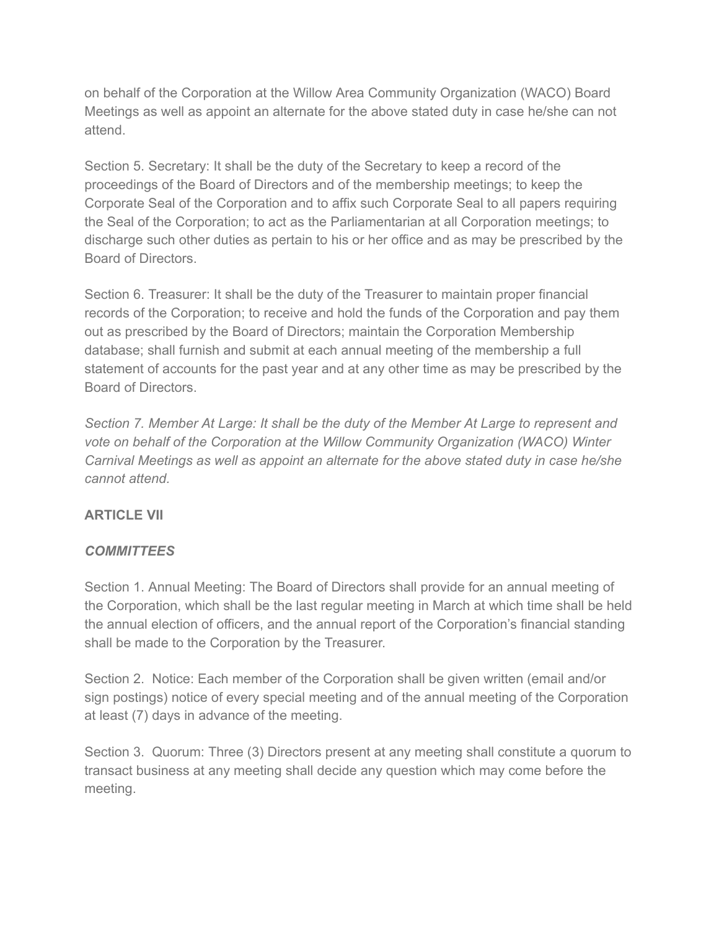on behalf of the Corporation at the Willow Area Community Organization (WACO) Board Meetings as well as appoint an alternate for the above stated duty in case he/she can not attend.

Section 5. Secretary: It shall be the duty of the Secretary to keep a record of the proceedings of the Board of Directors and of the membership meetings; to keep the Corporate Seal of the Corporation and to affix such Corporate Seal to all papers requiring the Seal of the Corporation; to act as the Parliamentarian at all Corporation meetings; to discharge such other duties as pertain to his or her office and as may be prescribed by the Board of Directors.

Section 6. Treasurer: It shall be the duty of the Treasurer to maintain proper financial records of the Corporation; to receive and hold the funds of the Corporation and pay them out as prescribed by the Board of Directors; maintain the Corporation Membership database; shall furnish and submit at each annual meeting of the membership a full statement of accounts for the past year and at any other time as may be prescribed by the Board of Directors.

Section 7. Member At Large: It shall be the duty of the Member At Large to represent and vote on behalf of the Corporation at the Willow Community Organization (WACO) Winter Carnival Meetings as well as appoint an alternate for the above stated duty in case he/she cannot attend.

## ARTICLE VII

## **COMMITTEES**

Section 1. Annual Meeting: The Board of Directors shall provide for an annual meeting of the Corporation, which shall be the last regular meeting in March at which time shall be held the annual election of officers, and the annual report of the Corporation's financial standing shall be made to the Corporation by the Treasurer.

Section 2. Notice: Each member of the Corporation shall be given written (email and/or sign postings) notice of every special meeting and of the annual meeting of the Corporation at least (7) days in advance of the meeting.

Section 3. Quorum: Three (3) Directors present at any meeting shall constitute a quorum to transact business at any meeting shall decide any question which may come before the meeting.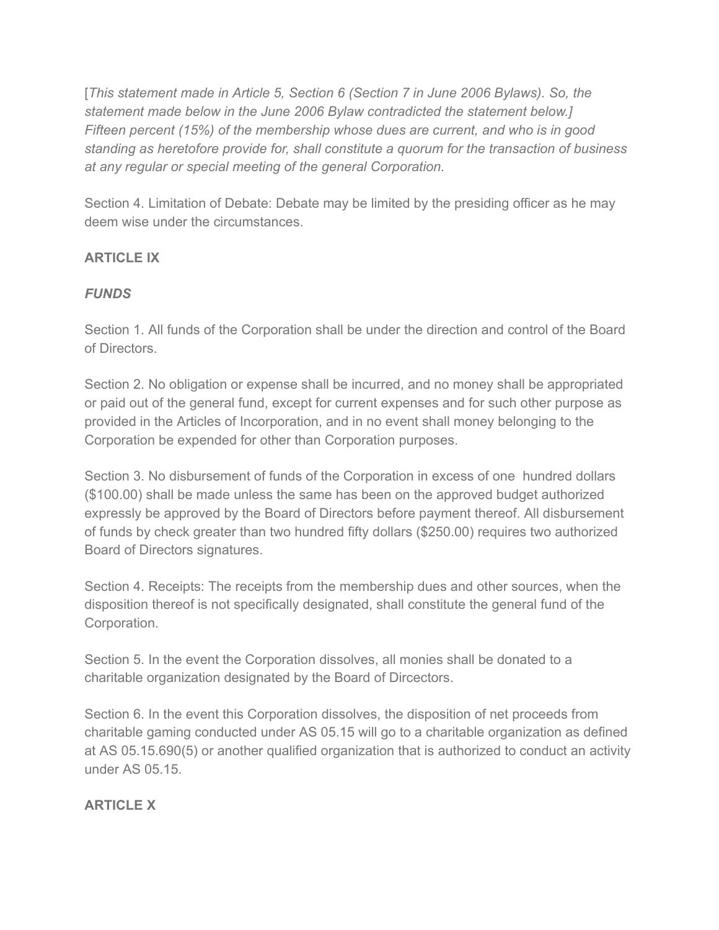[This statement made in Article 5, Section 6 (Section 7 in June 2006 Bylaws). So, the statement made below in the June 2006 Bylaw contradicted the statement below.] Fifteen percent (15%) of the membership whose dues are current, and who is in good standing as heretofore provide for, shall constitute a quorum for the transaction of business at any regular or special meeting of the general Corporation.

Section 4. Limitation of Debate: Debate may be limited by the presiding officer as he may deem wise under the circumstances.

## ARTICLE IX

## **FUNDS**

Section 1. All funds of the Corporation shall be under the direction and control of the Board of Directors.

Section 2. No obligation or expense shall be incurred, and no money shall be appropriated or paid out of the general fund, except for current expenses and for such other purpose as provided in the Articles of Incorporation, and in no event shall money belonging to the Corporation be expended for other than Corporation purposes.

Section 3. No disbursement of funds of the Corporation in excess of one hundred dollars (\$100.00) shall be made unless the same has been on the approved budget authorized expressly be approved by the Board of Directors before payment thereof. All disbursement of funds by check greater than two hundred fifty dollars (\$250.00) requires two authorized Board of Directors signatures.

Section 4. Receipts: The receipts from the membership dues and other sources, when the disposition thereof is not specifically designated, shall constitute the general fund of the Corporation.

Section 5. In the event the Corporation dissolves, all monies shall be donated to a charitable organization designated by the Board of Dircectors.

Section 6. In the event this Corporation dissolves, the disposition of net proceeds from charitable gaming conducted under AS 05.15 will go to a charitable organization as defined at AS 05.15.690(5) or another qualified organization that is authorized to conduct an activity under AS 05.15.

## ARTICLE X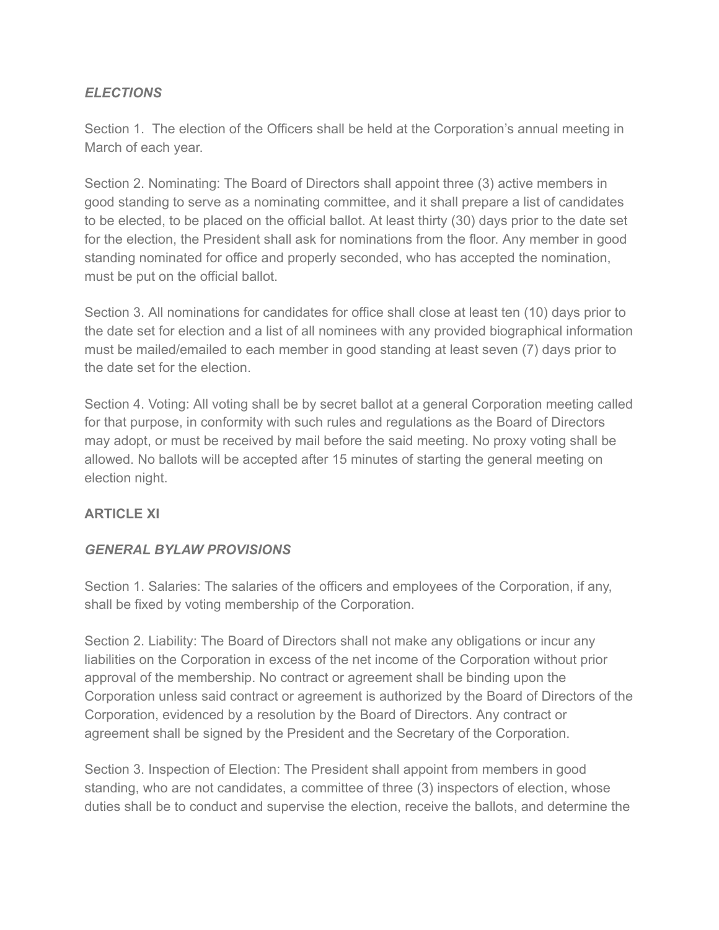## **ELECTIONS**

Section 1. The election of the Officers shall be held at the Corporation's annual meeting in March of each year.

Section 2. Nominating: The Board of Directors shall appoint three (3) active members in good standing to serve as a nominating committee, and it shall prepare a list of candidates to be elected, to be placed on the official ballot. At least thirty (30) days prior to the date set for the election, the President shall ask for nominations from the floor. Any member in good standing nominated for office and properly seconded, who has accepted the nomination, must be put on the official ballot.

Section 3. All nominations for candidates for office shall close at least ten (10) days prior to the date set for election and a list of all nominees with any provided biographical information must be mailed/emailed to each member in good standing at least seven (7) days prior to the date set for the election.

Section 4. Voting: All voting shall be by secret ballot at a general Corporation meeting called for that purpose, in conformity with such rules and regulations as the Board of Directors may adopt, or must be received by mail before the said meeting. No proxy voting shall be allowed. No ballots will be accepted after 15 minutes of starting the general meeting on election night.

#### ARTICLE XI

## GENERAL BYLAW PROVISIONS

Section 1. Salaries: The salaries of the officers and employees of the Corporation, if any, shall be fixed by voting membership of the Corporation.

Section 2. Liability: The Board of Directors shall not make any obligations or incur any liabilities on the Corporation in excess of the net income of the Corporation without prior approval of the membership. No contract or agreement shall be binding upon the Corporation unless said contract or agreement is authorized by the Board of Directors of the Corporation, evidenced by a resolution by the Board of Directors. Any contract or agreement shall be signed by the President and the Secretary of the Corporation.

Section 3. Inspection of Election: The President shall appoint from members in good standing, who are not candidates, a committee of three (3) inspectors of election, whose duties shall be to conduct and supervise the election, receive the ballots, and determine the